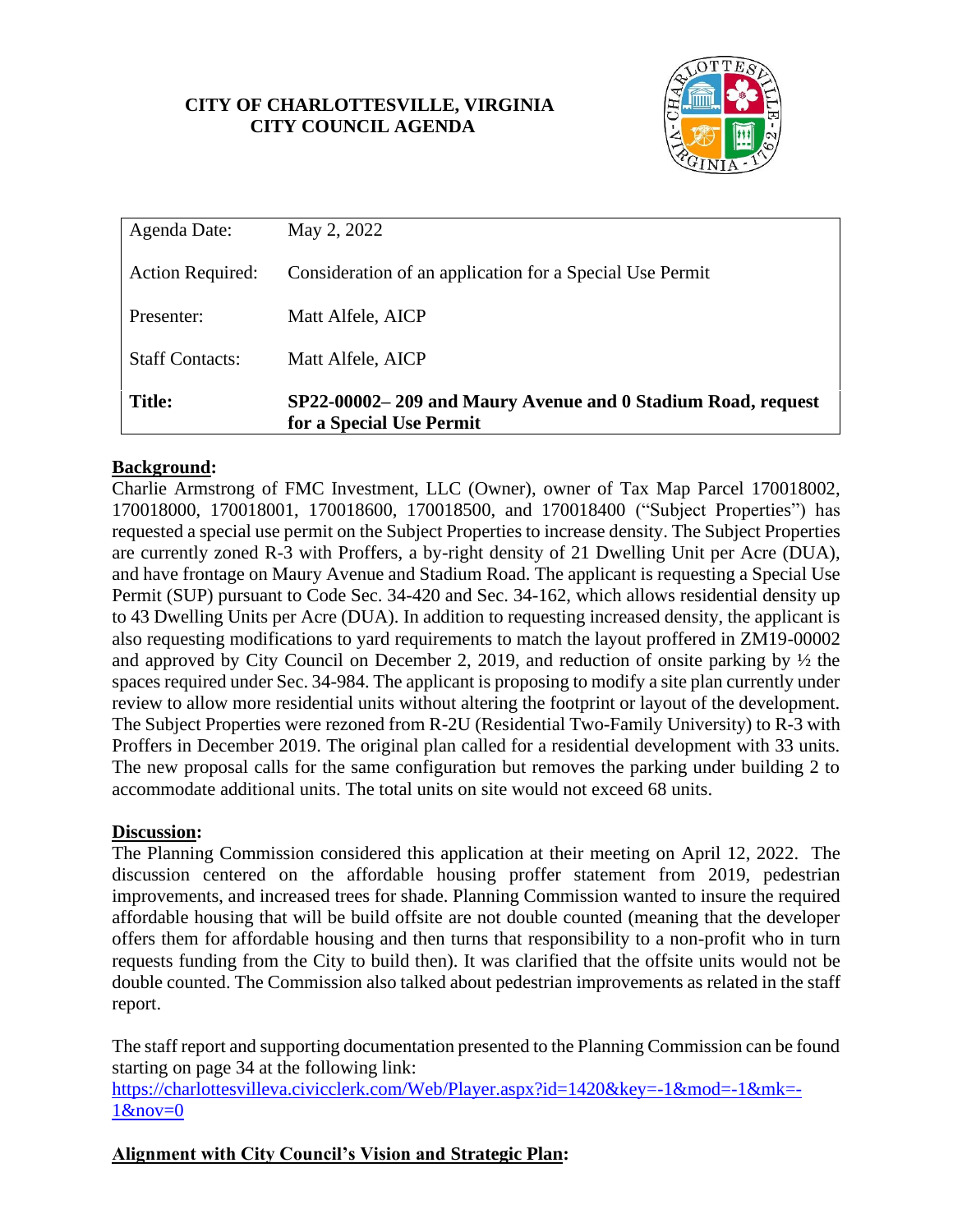## **CITY OF CHARLOTTESVILLE, VIRGINIA CITY COUNCIL AGENDA**



| <b>Title:</b>           | SP22-00002-209 and Maury Avenue and 0 Stadium Road, request<br>for a Special Use Permit |
|-------------------------|-----------------------------------------------------------------------------------------|
| <b>Staff Contacts:</b>  | Matt Alfele, AICP                                                                       |
| Presenter:              | Matt Alfele, AICP                                                                       |
| <b>Action Required:</b> | Consideration of an application for a Special Use Permit                                |
| Agenda Date:            | May 2, 2022                                                                             |

## **Background:**

Charlie Armstrong of FMC Investment, LLC (Owner), owner of Tax Map Parcel 170018002, 170018000, 170018001, 170018600, 170018500, and 170018400 ("Subject Properties") has requested a special use permit on the Subject Properties to increase density. The Subject Properties are currently zoned R-3 with Proffers, a by-right density of 21 Dwelling Unit per Acre (DUA), and have frontage on Maury Avenue and Stadium Road. The applicant is requesting a Special Use Permit (SUP) pursuant to Code Sec. 34-420 and Sec. 34-162, which allows residential density up to 43 Dwelling Units per Acre (DUA). In addition to requesting increased density, the applicant is also requesting modifications to yard requirements to match the layout proffered in ZM19-00002 and approved by City Council on December 2, 2019, and reduction of onsite parking by ½ the spaces required under Sec. 34-984. The applicant is proposing to modify a site plan currently under review to allow more residential units without altering the footprint or layout of the development. The Subject Properties were rezoned from R-2U (Residential Two-Family University) to R-3 with Proffers in December 2019. The original plan called for a residential development with 33 units. The new proposal calls for the same configuration but removes the parking under building 2 to accommodate additional units. The total units on site would not exceed 68 units.

## **Discussion:**

The Planning Commission considered this application at their meeting on April 12, 2022. The discussion centered on the affordable housing proffer statement from 2019, pedestrian improvements, and increased trees for shade. Planning Commission wanted to insure the required affordable housing that will be build offsite are not double counted (meaning that the developer offers them for affordable housing and then turns that responsibility to a non-profit who in turn requests funding from the City to build then). It was clarified that the offsite units would not be double counted. The Commission also talked about pedestrian improvements as related in the staff report.

The staff report and supporting documentation presented to the Planning Commission can be found starting on page 34 at the following link:

[https://charlottesvilleva.civicclerk.com/Web/Player.aspx?id=1420&key=-1&mod=-1&mk=-](https://charlottesvilleva.civicclerk.com/Web/Player.aspx?id=1420&key=-1&mod=-1&mk=-1&nov=0) [1&nov=0](https://charlottesvilleva.civicclerk.com/Web/Player.aspx?id=1420&key=-1&mod=-1&mk=-1&nov=0)

# **Alignment with City Council's Vision and Strategic Plan:**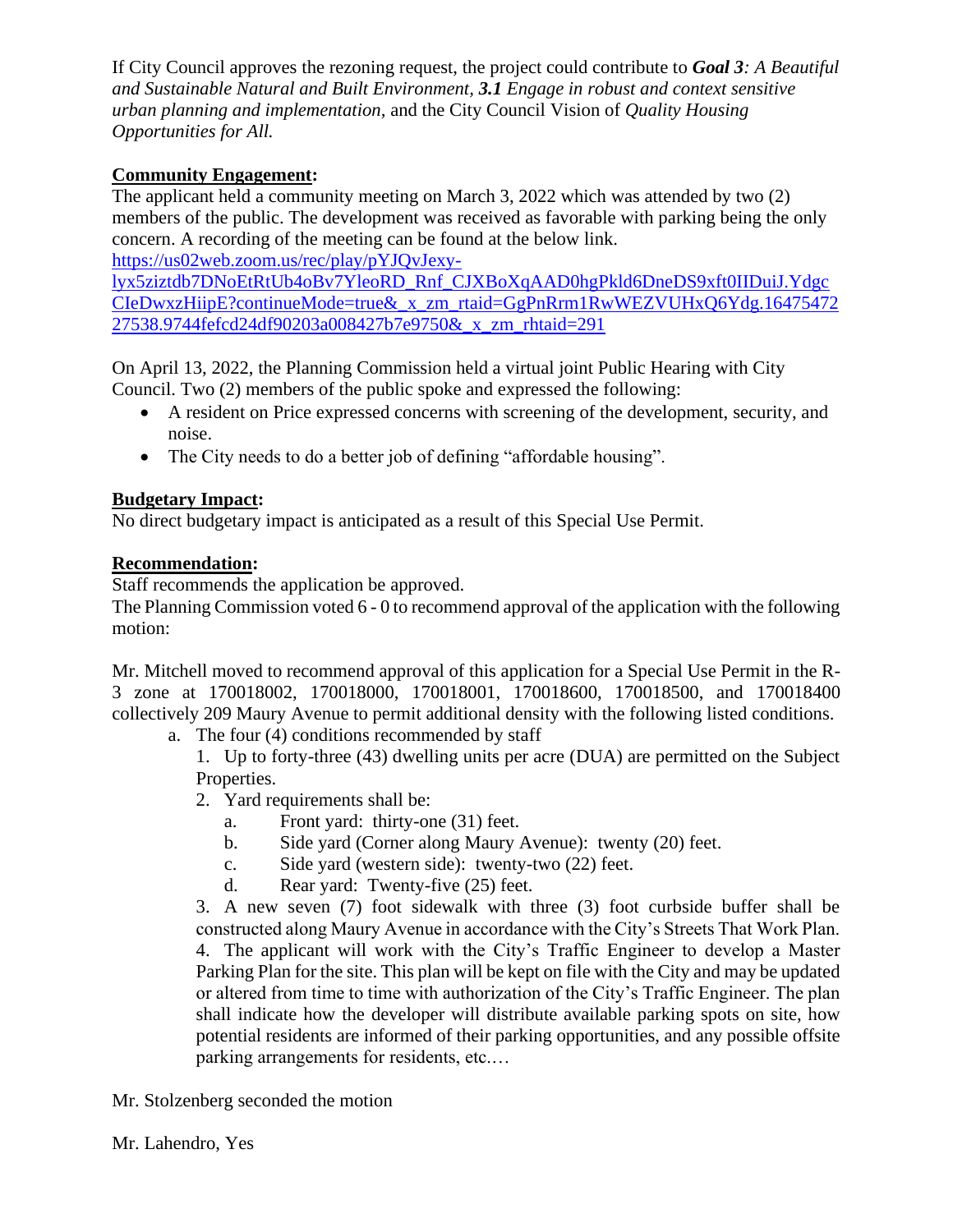If City Council approves the rezoning request, the project could contribute to *Goal 3: A Beautiful and Sustainable Natural and Built Environment, 3.1 Engage in robust and context sensitive urban planning and implementation,* and the City Council Vision of *Quality Housing Opportunities for All.* 

## **Community Engagement:**

The applicant held a community meeting on March 3, 2022 which was attended by two (2) members of the public. The development was received as favorable with parking being the only concern. A recording of the meeting can be found at the below link.

[https://us02web.zoom.us/rec/play/pYJQvJexy-](https://us02web.zoom.us/rec/play/pYJQvJexy-lyx5ziztdb7DNoEtRtUb4oBv7YleoRD_Rnf_CJXBoXqAAD0hgPkld6DneDS9xft0IIDuiJ.YdgcCIeDwxzHiipE?continueMode=true&_x_zm_rtaid=GgPnRrm1RwWEZVUHxQ6Ydg.1647547227538.9744fefcd24df90203a008427b7e9750&_x_zm_rhtaid=291)

[lyx5ziztdb7DNoEtRtUb4oBv7YleoRD\\_Rnf\\_CJXBoXqAAD0hgPkld6DneDS9xft0IIDuiJ.Ydgc](https://us02web.zoom.us/rec/play/pYJQvJexy-lyx5ziztdb7DNoEtRtUb4oBv7YleoRD_Rnf_CJXBoXqAAD0hgPkld6DneDS9xft0IIDuiJ.YdgcCIeDwxzHiipE?continueMode=true&_x_zm_rtaid=GgPnRrm1RwWEZVUHxQ6Ydg.1647547227538.9744fefcd24df90203a008427b7e9750&_x_zm_rhtaid=291) [CIeDwxzHiipE?continueMode=true&\\_x\\_zm\\_rtaid=GgPnRrm1RwWEZVUHxQ6Ydg.16475472](https://us02web.zoom.us/rec/play/pYJQvJexy-lyx5ziztdb7DNoEtRtUb4oBv7YleoRD_Rnf_CJXBoXqAAD0hgPkld6DneDS9xft0IIDuiJ.YdgcCIeDwxzHiipE?continueMode=true&_x_zm_rtaid=GgPnRrm1RwWEZVUHxQ6Ydg.1647547227538.9744fefcd24df90203a008427b7e9750&_x_zm_rhtaid=291) [27538.9744fefcd24df90203a008427b7e9750&\\_x\\_zm\\_rhtaid=291](https://us02web.zoom.us/rec/play/pYJQvJexy-lyx5ziztdb7DNoEtRtUb4oBv7YleoRD_Rnf_CJXBoXqAAD0hgPkld6DneDS9xft0IIDuiJ.YdgcCIeDwxzHiipE?continueMode=true&_x_zm_rtaid=GgPnRrm1RwWEZVUHxQ6Ydg.1647547227538.9744fefcd24df90203a008427b7e9750&_x_zm_rhtaid=291)

On April 13, 2022, the Planning Commission held a virtual joint Public Hearing with City Council. Two (2) members of the public spoke and expressed the following:

- A resident on Price expressed concerns with screening of the development, security, and noise.
- The City needs to do a better job of defining "affordable housing".

## **Budgetary Impact:**

No direct budgetary impact is anticipated as a result of this Special Use Permit.

## **Recommendation:**

Staff recommends the application be approved.

The Planning Commission voted 6 - 0 to recommend approval of the application with the following motion:

Mr. Mitchell moved to recommend approval of this application for a Special Use Permit in the R-3 zone at 170018002, 170018000, 170018001, 170018600, 170018500, and 170018400 collectively 209 Maury Avenue to permit additional density with the following listed conditions.

a. The four (4) conditions recommended by staff

1. Up to forty-three (43) dwelling units per acre (DUA) are permitted on the Subject Properties.

- 2. Yard requirements shall be:
	- a. Front yard: thirty-one (31) feet.
	- b. Side yard (Corner along Maury Avenue): twenty (20) feet.
	- c. Side yard (western side): twenty-two (22) feet.
	- d. Rear yard: Twenty-five (25) feet.

3. A new seven (7) foot sidewalk with three (3) foot curbside buffer shall be constructed along Maury Avenue in accordance with the City's Streets That Work Plan. 4. The applicant will work with the City's Traffic Engineer to develop a Master Parking Plan for the site. This plan will be kept on file with the City and may be updated or altered from time to time with authorization of the City's Traffic Engineer. The plan shall indicate how the developer will distribute available parking spots on site, how potential residents are informed of their parking opportunities, and any possible offsite parking arrangements for residents, etc.…

Mr. Stolzenberg seconded the motion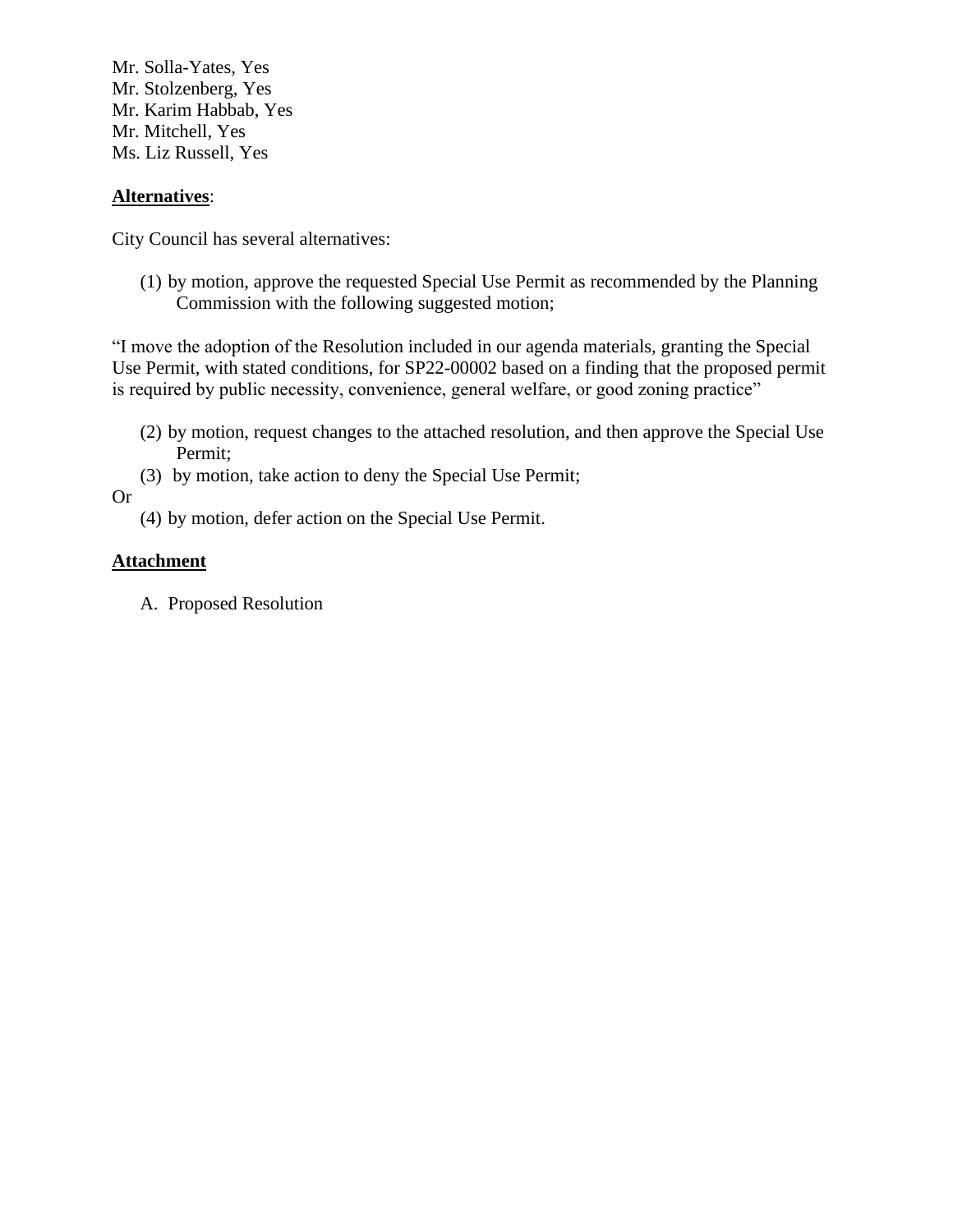Mr. Solla-Yates, Yes Mr. Stolzenberg, Yes Mr. Karim Habbab, Yes Mr. Mitchell, Yes Ms. Liz Russell, Yes

#### **Alternatives**:

City Council has several alternatives:

(1) by motion, approve the requested Special Use Permit as recommended by the Planning Commission with the following suggested motion;

"I move the adoption of the Resolution included in our agenda materials, granting the Special Use Permit, with stated conditions, for SP22-00002 based on a finding that the proposed permit is required by public necessity, convenience, general welfare, or good zoning practice"

- (2) by motion, request changes to the attached resolution, and then approve the Special Use Permit;
- (3) by motion, take action to deny the Special Use Permit;

Or

(4) by motion, defer action on the Special Use Permit.

#### **Attachment**

A. Proposed Resolution